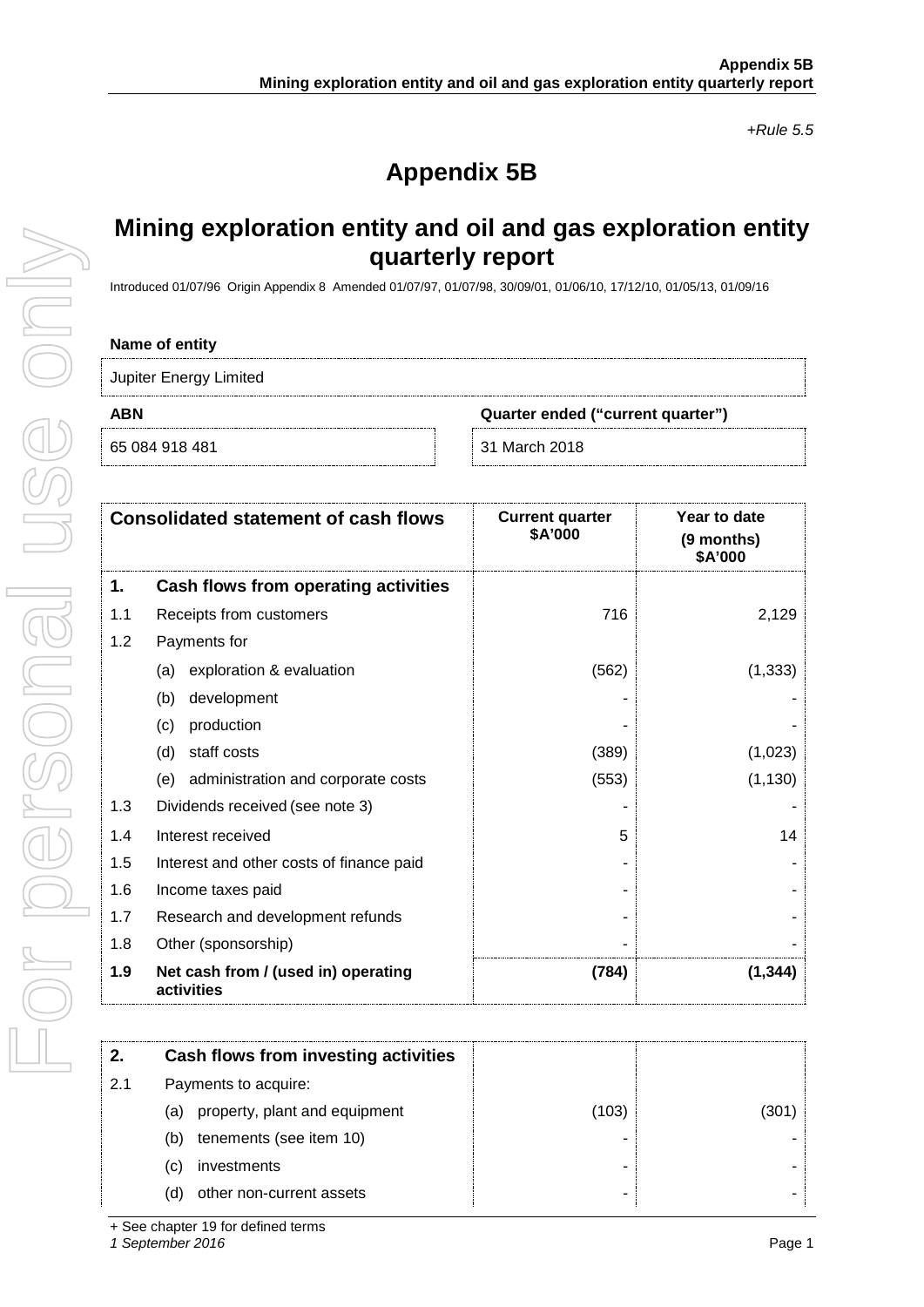*+Rule 5.5*

# **Appendix 5B**

## **Mining exploration entity and oil and gas exploration entity quarterly report**

Introduced 01/07/96 Origin Appendix 8 Amended 01/07/97, 01/07/98, 30/09/01, 01/06/10, 17/12/10, 01/05/13, 01/09/16

#### **Name of entity**

Jupiter Energy Limited

For personal use only

JSE ONIV

**ABN Quarter ended ("current quarter")**

65 084 918 481 31 March 2018

| <b>Consolidated statement of cash flows</b> |                                                   | <b>Current quarter</b><br>\$A'000 | Year to date<br>(9 months)<br>\$A'000 |
|---------------------------------------------|---------------------------------------------------|-----------------------------------|---------------------------------------|
| 1.                                          | Cash flows from operating activities              |                                   |                                       |
| 1.1                                         | Receipts from customers                           | 716                               | 2,129                                 |
| 1.2                                         | Payments for                                      |                                   |                                       |
|                                             | exploration & evaluation<br>(a)                   | (562)                             | (1, 333)                              |
|                                             | development<br>(b)                                |                                   |                                       |
|                                             | production<br>(c)                                 |                                   |                                       |
|                                             | staff costs<br>(d)                                | (389)                             | (1,023)                               |
|                                             | administration and corporate costs<br>(e)         | (553)                             | (1, 130)                              |
| 1.3                                         | Dividends received (see note 3)                   |                                   |                                       |
| 1.4                                         | Interest received                                 | 5                                 | 14                                    |
| 1.5                                         | Interest and other costs of finance paid          |                                   |                                       |
| 1.6                                         | Income taxes paid                                 |                                   |                                       |
| 1.7                                         | Research and development refunds                  |                                   |                                       |
| 1.8                                         | Other (sponsorship)                               |                                   |                                       |
| 1.9                                         | Net cash from / (used in) operating<br>activities | (784)                             | (1,344)                               |

| 2.  | Cash flows from investing activities |       |     |
|-----|--------------------------------------|-------|-----|
| 2.1 | Payments to acquire:                 |       |     |
|     | property, plant and equipment<br>(a) | (103) | 301 |
|     | tenements (see item 10)<br>(b)       |       |     |
|     | investments<br>(C)                   |       |     |
|     | other non-current assets             |       |     |

*1 September 2016* Page 1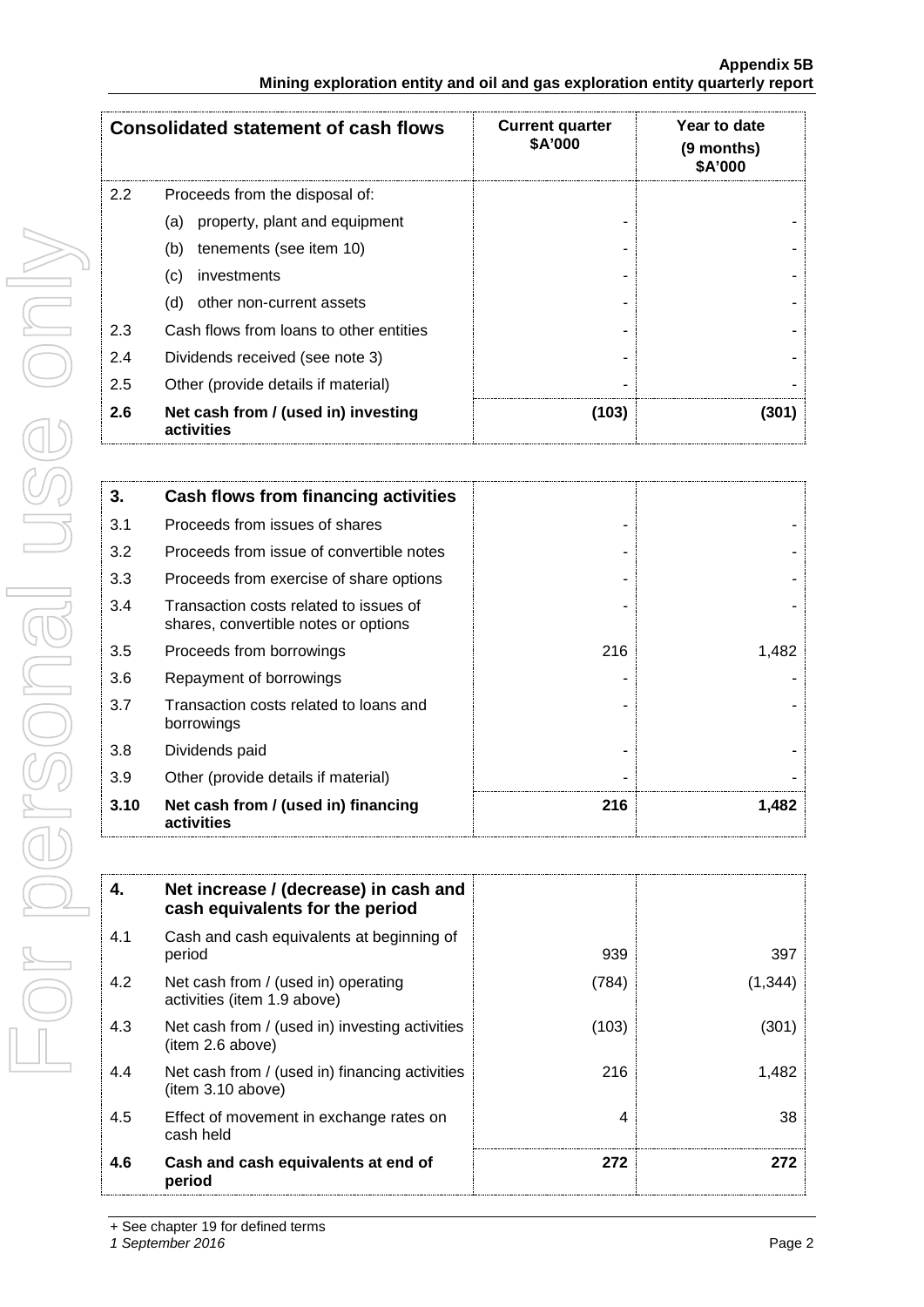#### **Appendix 5B Mining exploration entity and oil and gas exploration entity quarterly report**

|               | <b>Consolidated statement of cash flows</b>       | <b>Current quarter</b><br><b>\$A'000</b> | Year to date<br>(9 months)<br>\$A'000 |  |
|---------------|---------------------------------------------------|------------------------------------------|---------------------------------------|--|
| $2.2^{\circ}$ | Proceeds from the disposal of:                    |                                          |                                       |  |
|               | property, plant and equipment<br>(a)              |                                          |                                       |  |
|               | tenements (see item 10)<br>(b)                    |                                          |                                       |  |
|               | investments<br>(C)                                |                                          |                                       |  |
|               | (d)<br>other non-current assets                   |                                          |                                       |  |
| 2.3           | Cash flows from loans to other entities           |                                          |                                       |  |
| 2.4           | Dividends received (see note 3)                   |                                          |                                       |  |
| 2.5           | Other (provide details if material)               |                                          |                                       |  |
| 2.6           | Net cash from / (used in) investing<br>activities | (103)                                    | 301                                   |  |

| 3.   | <b>Cash flows from financing activities</b>                                    |     |       |
|------|--------------------------------------------------------------------------------|-----|-------|
| 3.1  | Proceeds from issues of shares                                                 |     |       |
| 3.2  | Proceeds from issue of convertible notes                                       |     |       |
| 3.3  | Proceeds from exercise of share options                                        |     |       |
| 3.4  | Transaction costs related to issues of<br>shares, convertible notes or options |     |       |
| 3.5  | Proceeds from borrowings                                                       | 216 | 1,482 |
| 3.6  | Repayment of borrowings                                                        |     |       |
| 3.7  | Transaction costs related to loans and<br>borrowings                           |     |       |
| 3.8  | Dividends paid                                                                 |     |       |
| 3.9  | Other (provide details if material)                                            |     |       |
| 3.10 | Net cash from / (used in) financing<br>activities                              | 216 | 1,482 |

| 4.  | Net increase / (decrease) in cash and<br>cash equivalents for the period |       |        |
|-----|--------------------------------------------------------------------------|-------|--------|
| 4.1 | Cash and cash equivalents at beginning of<br>period                      | 939   | 397    |
| 4.2 | Net cash from / (used in) operating<br>activities (item 1.9 above)       | (784) | (1.344 |
| 4.3 | Net cash from / (used in) investing activities<br>(item 2.6 above)       | (103) | 301    |
| 4.4 | Net cash from / (used in) financing activities<br>item 3.10 above)       | 216   | 1.482  |
| 4.5 | Effect of movement in exchange rates on<br>cash held                     | 4     | 38     |
| 4.6 | Cash and cash equivalents at end of<br>period                            | 272   | 272    |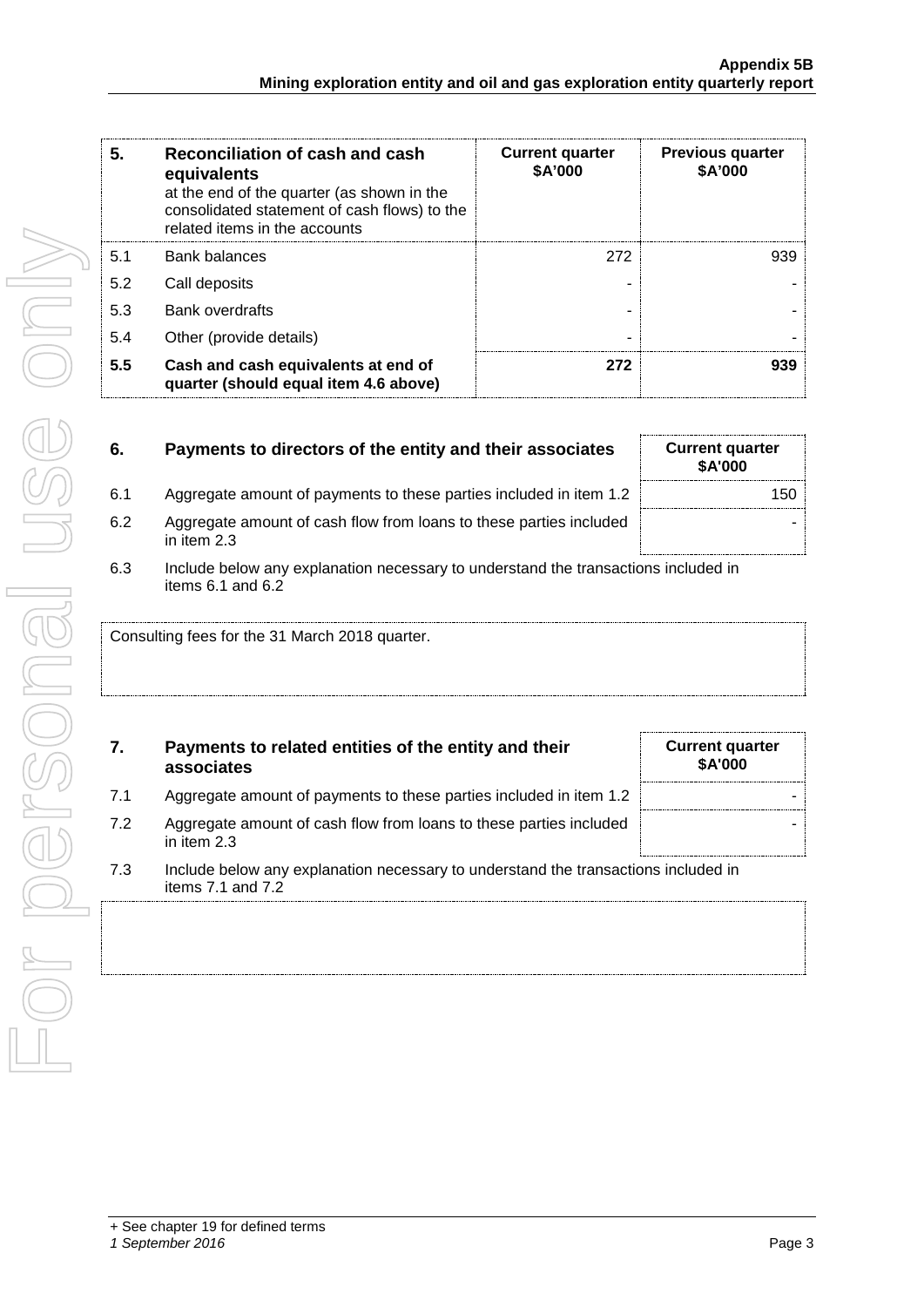| 5.  | Reconciliation of cash and cash<br>equivalents<br>at the end of the quarter (as shown in the<br>consolidated statement of cash flows) to the<br>related items in the accounts | <b>Current quarter</b><br>\$A'000 | <b>Previous quarter</b><br>\$A'000 |
|-----|-------------------------------------------------------------------------------------------------------------------------------------------------------------------------------|-----------------------------------|------------------------------------|
| 5.1 | Bank balances                                                                                                                                                                 | 272                               | 939                                |
| 5.2 | Call deposits                                                                                                                                                                 | ۰                                 |                                    |
| 5.3 | <b>Bank overdrafts</b>                                                                                                                                                        |                                   |                                    |
| 5.4 | Other (provide details)                                                                                                                                                       |                                   |                                    |
| 5.5 | Cash and cash equivalents at end of<br>quarter (should equal item 4.6 above)                                                                                                  | 272                               | 939                                |

| 6.  | Payments to directors of the entity and their associates                          | <b>Current quarter</b><br><b>\$A'000</b> |
|-----|-----------------------------------------------------------------------------------|------------------------------------------|
| 6.1 | Aggregate amount of payments to these parties included in item 1.2                | 150                                      |
| 6.2 | Aggregate amount of cash flow from loans to these parties included<br>in item 2.3 |                                          |

6.3 Include below any explanation necessary to understand the transactions included in items 6.1 and 6.2

Consulting fees for the 31 March 2018 quarter.

### **7. Payments to related entities of the entity and their associates**

- 7.1 Aggregate amount of payments to these parties included in item 1.2 |
- 7.2 Aggregate amount of cash flow from loans to these parties included in item 2.3
- 7.3 Include below any explanation necessary to understand the transactions included in items 7.1 and 7.2

**Current quarter \$A'000**

-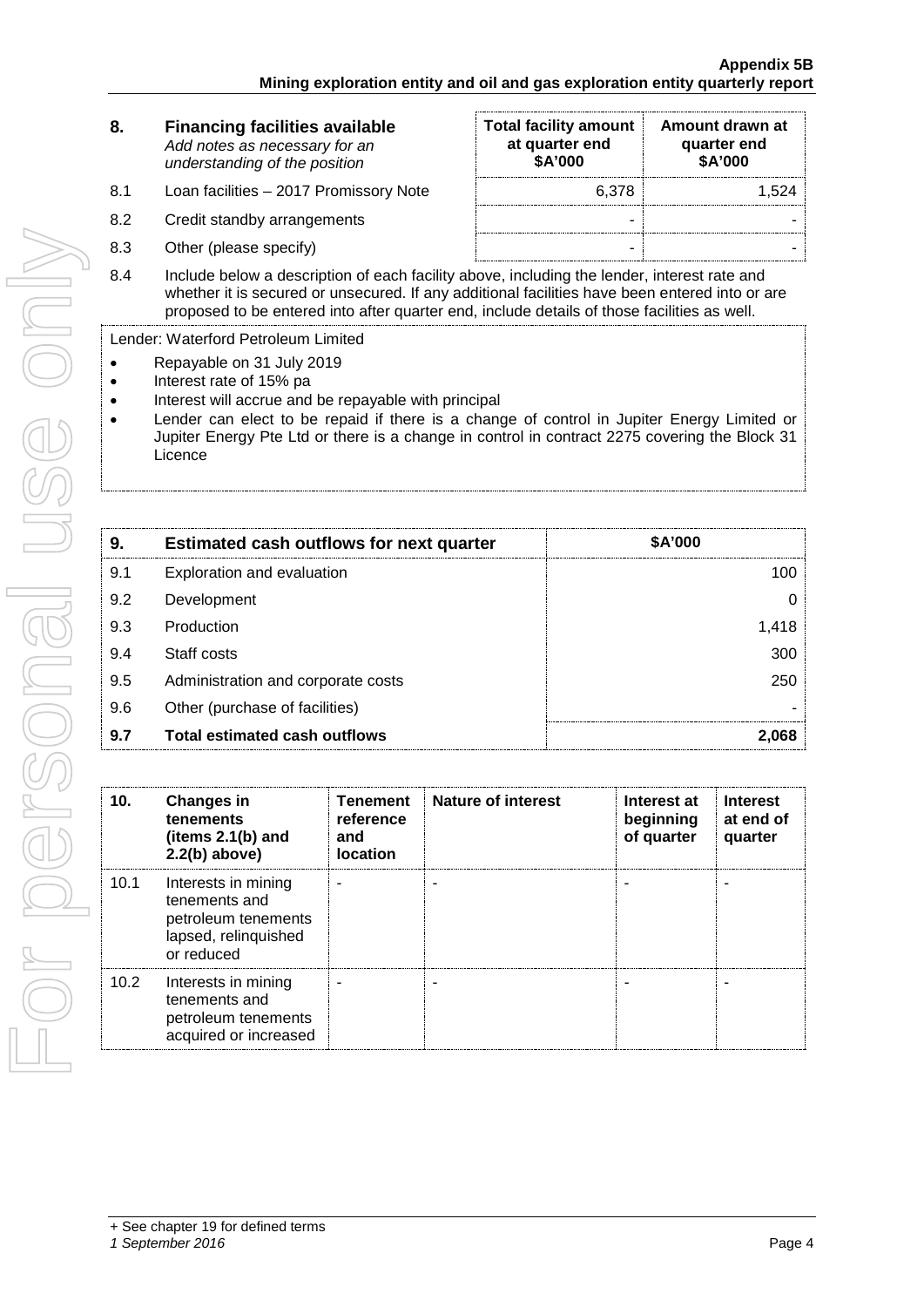| 8. | <b>Financing facilities available</b> |
|----|---------------------------------------|
|    | Add notes as necessary for an         |
|    | understanding of the position         |

- 8.1 Loan facilities 2017 Promissory Note
- 8.2 Credit standby arrangements
- 8.3 Other (please specify)

| <b>Total facility amount</b><br>at quarter end<br>\$A'000 | Amount drawn at<br>quarter end<br>\$A'000 |
|-----------------------------------------------------------|-------------------------------------------|
| 6,378                                                     | 1,524                                     |
|                                                           |                                           |
|                                                           |                                           |

8.4 Include below a description of each facility above, including the lender, interest rate and whether it is secured or unsecured. If any additional facilities have been entered into or are proposed to be entered into after quarter end, include details of those facilities as well.

Lender: Waterford Petroleum Limited

- 
- Repayable on 31 July 2019<br>• Interest rate of 15% pa • Interest rate of 15% pa
- Interest will accrue and be repayable with principal
- Lender can elect to be repaid if there is a change of control in Jupiter Energy Limited or Jupiter Energy Pte Ltd or there is a change in control in contract 2275 covering the Block 31 **Licence**

| 9   | <b>Estimated cash outflows for next quarter</b> | \$A'000 |  |
|-----|-------------------------------------------------|---------|--|
| 9.1 | Exploration and evaluation                      |         |  |
| 9.2 | Development                                     |         |  |
| 9.3 | Production                                      |         |  |
| 9.4 | Staff costs                                     | 300     |  |
| 9.5 | Administration and corporate costs              |         |  |
| 9.6 | Other (purchase of facilities)                  |         |  |
| 9.7 | <b>Total estimated cash outflows</b>            |         |  |

| 10.  | <b>Changes in</b><br>tenements<br>(items 2.1(b) and<br>$2.2(b)$ above)                            | Tenement<br>reference<br>and<br><b>location</b> | Nature of interest | Interest at<br>beginning<br>of quarter | <b>Interest</b><br>at end of<br>quarter |
|------|---------------------------------------------------------------------------------------------------|-------------------------------------------------|--------------------|----------------------------------------|-----------------------------------------|
| 10.1 | Interests in mining<br>tenements and<br>petroleum tenements<br>lapsed, relinquished<br>or reduced |                                                 |                    |                                        |                                         |
| 10.2 | Interests in mining<br>tenements and<br>petroleum tenements<br>acquired or increased              |                                                 |                    |                                        |                                         |